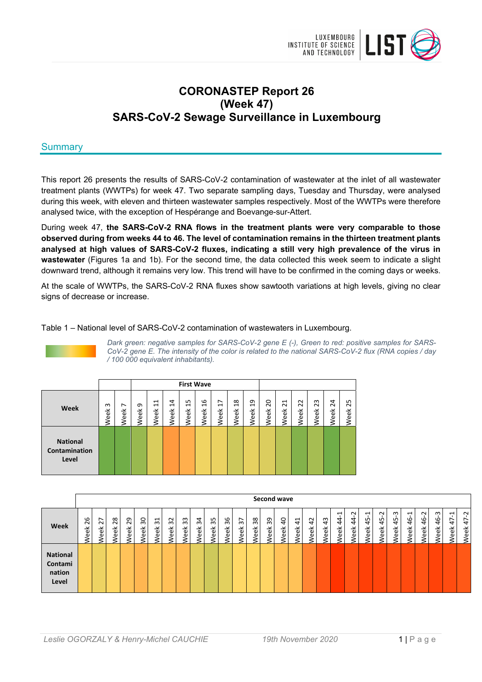

# **CORONASTEP Report 26 (Week 47) SARS-CoV-2 Sewage Surveillance in Luxembourg**

# Summary

This report 26 presents the results of SARS-CoV-2 contamination of wastewater at the inlet of all wastewater treatment plants (WWTPs) for week 47. Two separate sampling days, Tuesday and Thursday, were analysed during this week, with eleven and thirteen wastewater samples respectively. Most of the WWTPs were therefore analysed twice, with the exception of Hespérange and Boevange-sur-Attert.

During week 47, **the SARS-CoV-2 RNA flows in the treatment plants were very comparable to those observed during from weeks 44 to 46. The level of contamination remains in the thirteen treatment plants analysed at high values of SARS-CoV-2 fluxes, indicating a still very high prevalence of the virus in wastewater** (Figures 1a and 1b). For the second time, the data collected this week seem to indicate a slight downward trend, although it remains very low. This trend will have to be confirmed in the coming days or weeks.

At the scale of WWTPs, the SARS-CoV-2 RNA fluxes show sawtooth variations at high levels, giving no clear signs of decrease or increase.

Table 1 – National level of SARS-CoV-2 contamination of wastewaters in Luxembourg.



*Dark green: negative samples for SARS-CoV-2 gene E (-), Green to red: positive samples for SARS-CoV-2 gene E. The intensity of the color is related to the national SARS-CoV-2 flux (RNA copies / day / 100 000 equivalent inhabitants).* 

|                                                  |                  |          |          |                                                             |                            | <b>First Wave</b>                                    |                                    |                                    |                                           |                                   |                    |                                        |                         |                    |                    |                     |
|--------------------------------------------------|------------------|----------|----------|-------------------------------------------------------------|----------------------------|------------------------------------------------------|------------------------------------|------------------------------------|-------------------------------------------|-----------------------------------|--------------------|----------------------------------------|-------------------------|--------------------|--------------------|---------------------|
| <b>Week</b>                                      | $\omega$<br>/eek | ∼<br>eek | ᡡ<br>eek | $\overline{\phantom{0}}$<br>$\mathbf{\mathbf{H}}$<br>⊻<br>ළ | 4<br>$\overline{ }$<br>eek | LO.<br>$\mathbf{\mathbf{\mathsf{H}}}$<br><b>Neek</b> | G<br>$\mathbf{\mathbf{d}}$<br>Week | ∼<br>$\mathbf{\mathbf{r}}$<br>Week | $\infty$<br>$\mathbf{\mathbf{d}}$<br>Week | თ<br>$\mathbf{\mathbf{d}}$<br>eek | 0<br>$\sim$<br>eek | $\mathbf{\mathbf{d}}$<br>$\sim$<br>eek | $\sim$<br>$\sim$<br>eek | m<br>$\sim$<br>eek | 4<br>$\sim$<br>eek | ഗ<br>$\sim$<br>Week |
| <b>National</b><br><b>Contamination</b><br>Level |                  |          |          |                                                             |                            |                                                      |                                    |                                    |                                           |                                   |                    |                                        |                         |                    |                    |                     |

|                                               |                        |                     |           |            |                   |                                |                   |                                    |                   |                      |            |                      |           | Second wave       |                               |                               |                        |            |                     |                     |                |                     |                           |                                       |                                        |                            |                                                 |                      |
|-----------------------------------------------|------------------------|---------------------|-----------|------------|-------------------|--------------------------------|-------------------|------------------------------------|-------------------|----------------------|------------|----------------------|-----------|-------------------|-------------------------------|-------------------------------|------------------------|------------|---------------------|---------------------|----------------|---------------------|---------------------------|---------------------------------------|----------------------------------------|----------------------------|-------------------------------------------------|----------------------|
| Week                                          | ဖ<br>$\sim$<br>⊻<br>ee | ∼<br>$\sim$<br>veek | 28<br>eek | 29<br>Veek | 30<br><b>Veek</b> | $\overline{31}$<br><b>Neek</b> | 32<br><b>Neek</b> | ന<br>$\overline{m}$<br><b>Veek</b> | 34<br><b>Veek</b> | LO.<br>$\sim$<br>eek | 36<br>veek | $\frac{2}{3}$<br>eek | 38<br>eek | 39<br><b>Veek</b> | $\overline{a}$<br><b>Veek</b> | $\overline{4}$<br><b>Veek</b> | $\overline{4}$<br>veek | 43<br>veek | ⊣<br>4<br>4<br>veek | $\sim$<br>4<br>veek | ⊣<br>45<br>eek | $\sim$<br>45<br>eek | ന<br>$\frac{4}{5}$<br>eek | $\mathbf{\overline{u}}$<br>\$<br>Veek | $\sim$<br>$\frac{6}{4}$<br><b>Veek</b> | ന<br>$\frac{6}{5}$<br>Veek | ⊣<br>∼<br>4<br>$\overline{\phantom{a}}$<br>yeel | $\sim$<br>t+<br>Week |
| <b>National</b><br>Contami<br>nation<br>Level |                        |                     |           |            |                   |                                |                   |                                    |                   |                      |            |                      |           |                   |                               |                               |                        |            |                     |                     |                |                     |                           |                                       |                                        |                            |                                                 |                      |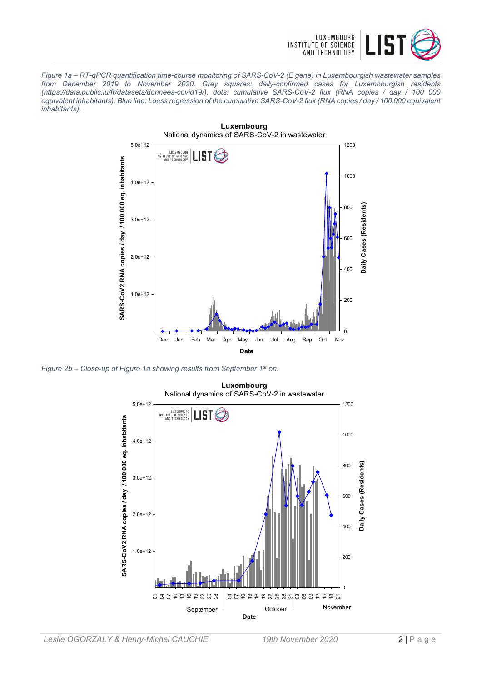

*Figure 1a – RT-qPCR quantification time-course monitoring of SARS-CoV-2 (E gene) in Luxembourgish wastewater samples from December 2019 to November 2020. Grey squares: daily-confirmed cases for Luxembourgish residents (https://data.public.lu/fr/datasets/donnees-covid19/), dots: cumulative SARS-CoV-2 flux (RNA copies / day / 100 000 equivalent inhabitants). Blue line: Loess regression of the cumulative SARS-CoV-2 flux (RNA copies / day / 100 000 equivalent inhabitants).* 



*Figure 2b – Close-up of Figure 1a showing results from September 1st on.* 

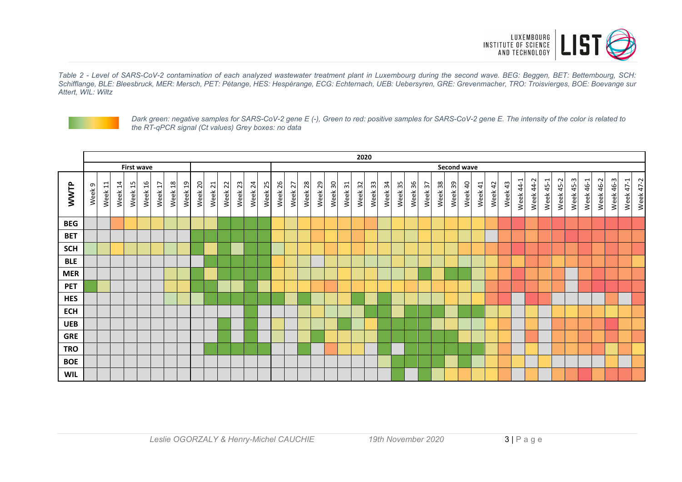

*Table 2 - Level of SARS-CoV-2 contamination of each analyzed wastewater treatment plant in Luxembourg during the second wave. BEG: Beggen, BET: Bettembourg, SCH: Schifflange, BLE: Bleesbruck, MER: Mersch, PET: Pétange, HES: Hespèrange, ECG: Echternach, UEB: Uebersyren, GRE: Grevenmacher, TRO: Troisvierges, BOE: Boevange sur Attert, WIL: Wiltz* 



*Dark green: negative samples for SARS-CoV-2 gene E (-), Green to red: positive samples for SARS-CoV-2 gene E. The intensity of the color is related to the RT-qPCR signal (Ct values) Grey boxes: no data* 

|            |        |         |         |                   |         |         |         |         |            |         |         |         |                                      |         |         |         |         |         |         |         | 2020    |         |         |         |         |         |         |                    |         |         |         |         |           |           |           |           |           |           |           |           |           |           |
|------------|--------|---------|---------|-------------------|---------|---------|---------|---------|------------|---------|---------|---------|--------------------------------------|---------|---------|---------|---------|---------|---------|---------|---------|---------|---------|---------|---------|---------|---------|--------------------|---------|---------|---------|---------|-----------|-----------|-----------|-----------|-----------|-----------|-----------|-----------|-----------|-----------|
|            |        |         |         | <b>First wave</b> |         |         |         |         |            |         |         |         |                                      |         |         |         |         |         |         |         |         |         |         |         |         |         |         | <b>Second wave</b> |         |         |         |         |           |           |           |           |           |           |           |           |           |           |
| WWTP       | Week 9 | Week 11 | Week 14 | Week 15           | Week 16 | Week 17 | Week 18 | Week 19 | 20<br>Week | Week 21 | Week 22 | Week 23 | $\overline{24}$<br>Week <sup>2</sup> | Week 25 | Week 26 | Week 27 | Week 28 | Week 29 | Week 30 | Week 31 | Week 32 | Week 33 | Week 34 | Week 35 | Week 36 | Week 37 | Week 38 | Week 39            | Week 40 | Week 41 | Week 42 | Week 43 | Week 44-1 | Week 44-2 | Week 45-1 | Week 45-2 | Week 45-3 | Week 46-1 | Week 46-2 | Week 46-3 | Week 47-1 | Week 47-2 |
| <b>BEG</b> |        |         |         |                   |         |         |         |         |            |         |         |         |                                      |         |         |         |         |         |         |         |         |         |         |         |         |         |         |                    |         |         |         |         |           |           |           |           |           |           |           |           |           |           |
| <b>BET</b> |        |         |         |                   |         |         |         |         |            |         |         |         |                                      |         |         |         |         |         |         |         |         |         |         |         |         |         |         |                    |         |         |         |         |           |           |           |           |           |           |           |           |           |           |
| <b>SCH</b> |        |         |         |                   |         |         |         |         |            |         |         |         |                                      |         |         |         |         |         |         |         |         |         |         |         |         |         |         |                    |         |         |         |         |           |           |           |           |           |           |           |           |           |           |
| <b>BLE</b> |        |         |         |                   |         |         |         |         |            |         |         |         |                                      |         |         |         |         |         |         |         |         |         |         |         |         |         |         |                    |         |         |         |         |           |           |           |           |           |           |           |           |           |           |
| <b>MER</b> |        |         |         |                   |         |         |         |         |            |         |         |         |                                      |         |         |         |         |         |         |         |         |         |         |         |         |         |         |                    |         |         |         |         |           |           |           |           |           |           |           |           |           |           |
| <b>PET</b> |        |         |         |                   |         |         |         |         |            |         |         |         |                                      |         |         |         |         |         |         |         |         |         |         |         |         |         |         |                    |         |         |         |         |           |           |           |           |           |           |           |           |           |           |
| <b>HES</b> |        |         |         |                   |         |         |         |         |            |         |         |         |                                      |         |         |         |         |         |         |         |         |         |         |         |         |         |         |                    |         |         |         |         |           |           |           |           |           |           |           |           |           |           |
| <b>ECH</b> |        |         |         |                   |         |         |         |         |            |         |         |         |                                      |         |         |         |         |         |         |         |         |         |         |         |         |         |         |                    |         |         |         |         |           |           |           |           |           |           |           |           |           |           |
| <b>UEB</b> |        |         |         |                   |         |         |         |         |            |         |         |         |                                      |         |         |         |         |         |         |         |         |         |         |         |         |         |         |                    |         |         |         |         |           |           |           |           |           |           |           |           |           |           |
| <b>GRE</b> |        |         |         |                   |         |         |         |         |            |         |         |         |                                      |         |         |         |         |         |         |         |         |         |         |         |         |         |         |                    |         |         |         |         |           |           |           |           |           |           |           |           |           |           |
| <b>TRO</b> |        |         |         |                   |         |         |         |         |            |         |         |         |                                      |         |         |         |         |         |         |         |         |         |         |         |         |         |         |                    |         |         |         |         |           |           |           |           |           |           |           |           |           |           |
| <b>BOE</b> |        |         |         |                   |         |         |         |         |            |         |         |         |                                      |         |         |         |         |         |         |         |         |         |         |         |         |         |         |                    |         |         |         |         |           |           |           |           |           |           |           |           |           |           |
| <b>WIL</b> |        |         |         |                   |         |         |         |         |            |         |         |         |                                      |         |         |         |         |         |         |         |         |         |         |         |         |         |         |                    |         |         |         |         |           |           |           |           |           |           |           |           |           |           |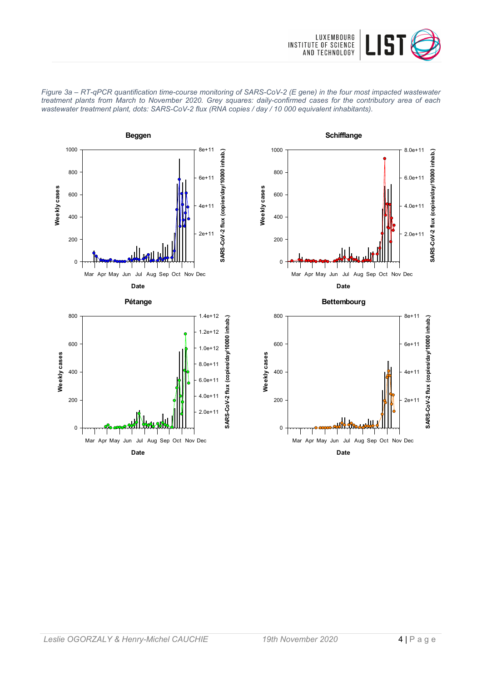











**Date**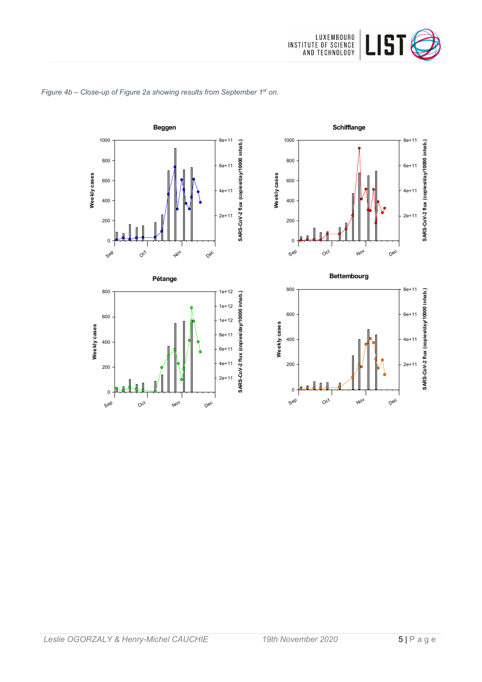





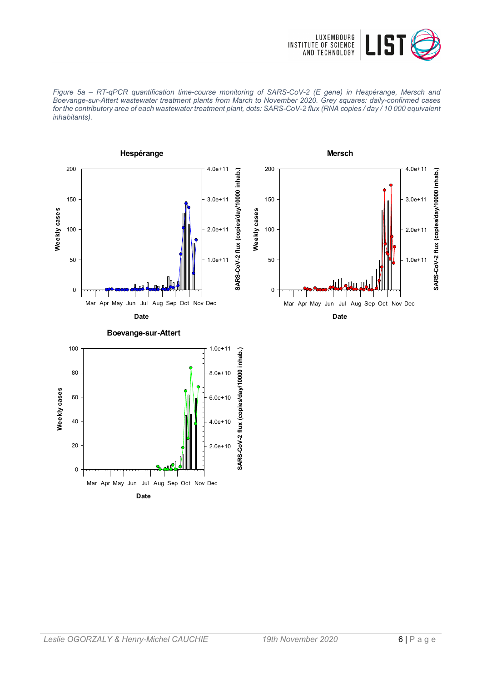

*Figure 5a – RT-qPCR quantification time-course monitoring of SARS-CoV-2 (E gene) in Hespérange, Mersch and Boevange-sur-Attert wastewater treatment plants from March to November 2020. Grey squares: daily-confirmed cases for the contributory area of each wastewater treatment plant, dots: SARS-CoV-2 flux (RNA copies / day / 10 000 equivalent inhabitants).*



**Date**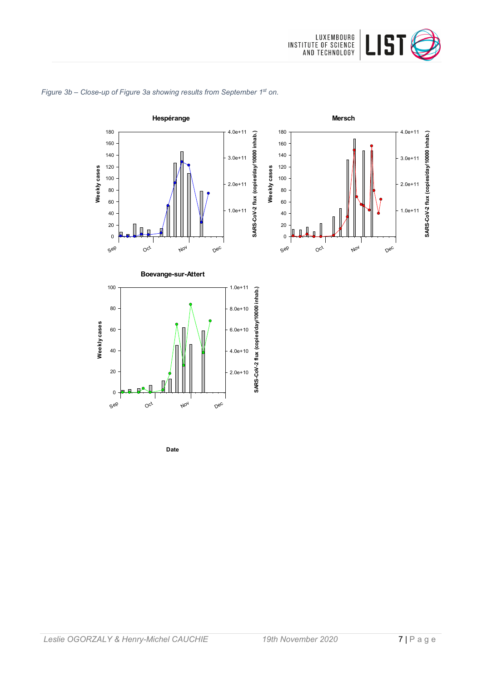





**Date**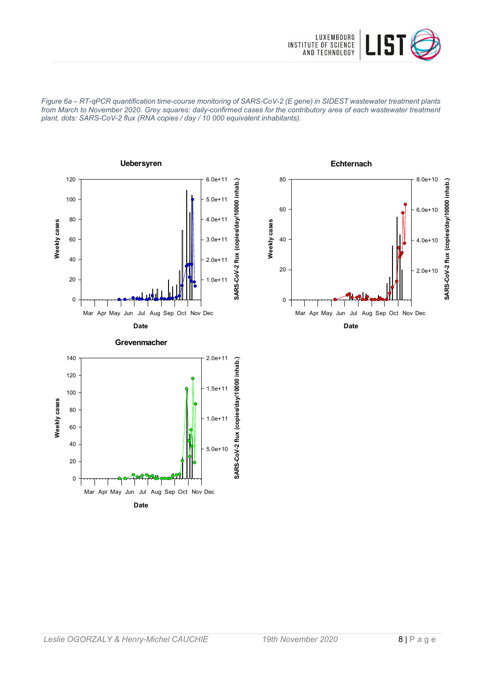

*Figure 6a – RT-qPCR quantification time-course monitoring of SARS-CoV-2 (E gene) in SIDEST wastewater treatment plants from March to November 2020. Grey squares: daily-confirmed cases for the contributory area of each wastewater treatment plant, dots: SARS-CoV-2 flux (RNA copies / day / 10 000 equivalent inhabitants).*





**Date** Mar Apr May Jun Jul Aug Sep Oct Nov Dec

0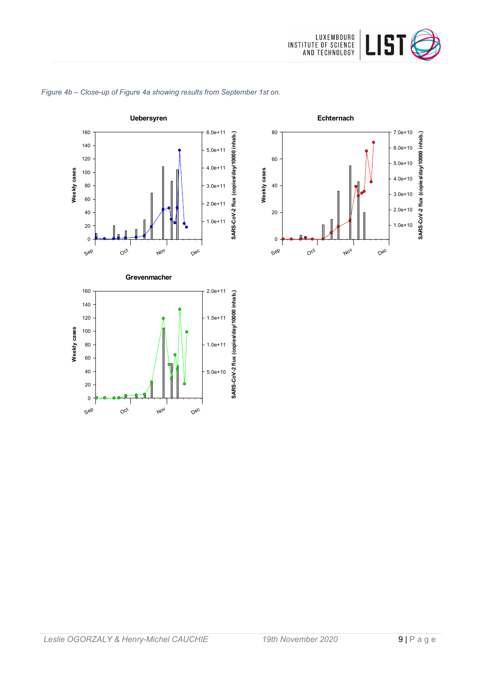





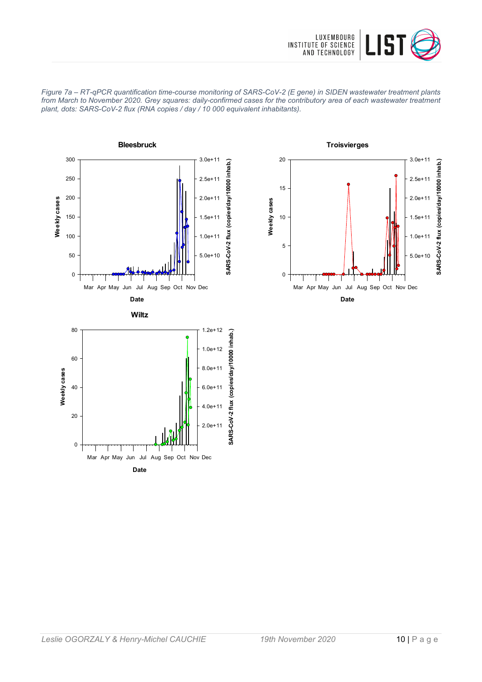





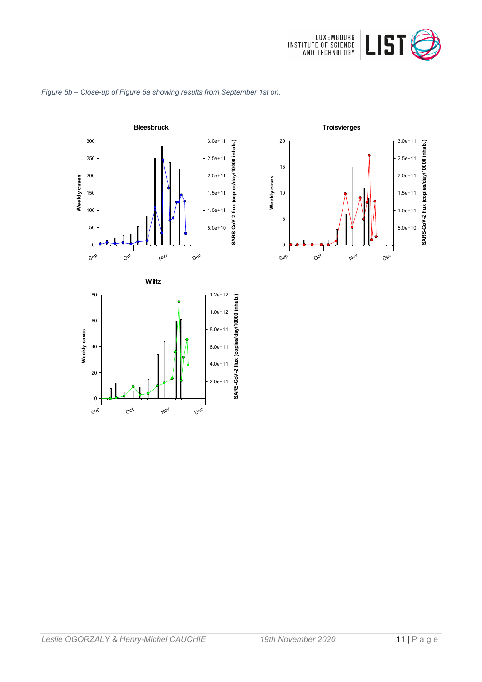





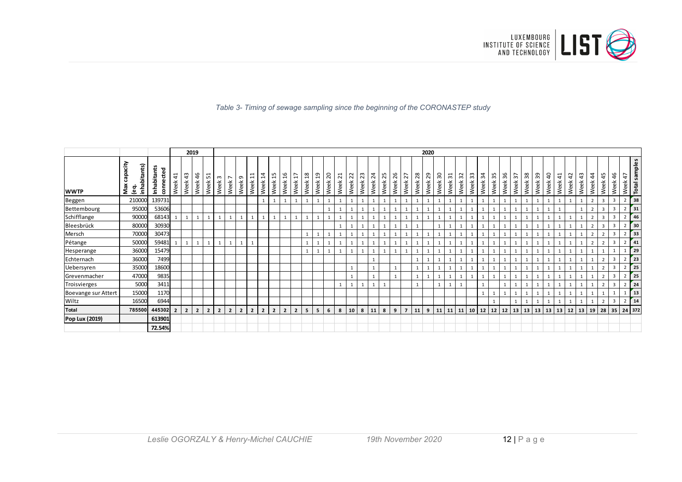

#### *Table 3- Timing of sewage sampling since the beginning of the CORONASTEP study*

|                     |                                           |                          |                |                | 2019           |                |                |                        |                  |                        |                |                |                |                |                        |              |            |                         |                        |            |                 |                         |            |                |            | 2020       |         |              |                        |            |              |            |            |              |              |            |                        |              |                        |                       |                        |                          |                         |                  |                  |
|---------------------|-------------------------------------------|--------------------------|----------------|----------------|----------------|----------------|----------------|------------------------|------------------|------------------------|----------------|----------------|----------------|----------------|------------------------|--------------|------------|-------------------------|------------------------|------------|-----------------|-------------------------|------------|----------------|------------|------------|---------|--------------|------------------------|------------|--------------|------------|------------|--------------|--------------|------------|------------------------|--------------|------------------------|-----------------------|------------------------|--------------------------|-------------------------|------------------|------------------|
| <b>WWTP</b>         | acity<br>inhabitants)<br>cap<br>Max<br>ၜႍ | Inhabitants<br>connected | 41<br>Week     | 43<br>Week     | 46<br>Week     | 51<br>Week     | m<br>Week      | $\overline{ }$<br>Week | $\sigma$<br>Week | $\overline{1}$<br>Week | 14<br>Week     | ٣,<br>Week     | 16<br>Week     | H<br>Week      | $\frac{8}{18}$<br>Week | ្អ<br>Week   | 20<br>Week | $\overline{21}$<br>Week | $\overline{2}$<br>Week | 23<br>Week | $^{24}$<br>Week | 25<br>Week <sup>2</sup> | 26<br>Week | 27<br>Week     | 28<br>Week | 29<br>Week | Week 30 | 31<br>Week   | $\mathfrak{L}$<br>Week | 33<br>Week | 34<br>Week   | 35<br>Week | 36<br>Week | 57<br>Week   | $38$<br>Week | 39<br>Week | $\overline{a}$<br>Week | Week 41      | $\overline{4}$<br>Week | $\frac{3}{4}$<br>Week | $\overline{4}$<br>Week | 45<br>Week               | 46<br>Week              | 47<br>Week       | samples<br>Total |
| Beggen              | 210000                                    | 139731                   |                |                |                |                |                |                        |                  |                        |                |                |                |                | $\mathbf{1}$           | $\mathbf{1}$ |            |                         |                        |            |                 | $\mathbf{1}$            |            |                |            |            |         |              |                        |            |              |            |            |              |              |            |                        | 1            |                        |                       |                        | $\overline{3}$           | $\overline{\mathbf{3}}$ | $\overline{2}$   | 38               |
| Bettembourg         | 95000                                     | 53606                    |                |                |                |                |                |                        |                  |                        |                |                |                |                |                        |              |            |                         |                        |            |                 |                         |            |                |            |            |         |              |                        |            |              |            |            |              |              |            |                        |              |                        |                       |                        | $\overline{\mathbf{3}}$  | $\overline{\mathbf{3}}$ | $\overline{2}$   | 31               |
| Schifflange         | 90000                                     | 68143                    |                |                |                |                |                |                        |                  | $\mathbf{1}$           |                |                |                |                |                        |              |            |                         |                        |            |                 |                         |            |                |            |            |         |              |                        |            |              |            |            |              |              |            |                        |              |                        |                       |                        | $\overline{\mathbf{3}}$  | $\overline{\mathbf{3}}$ | $\overline{2}$   | 46               |
| Bleesbrück          | 80000                                     | 30930                    |                |                |                |                |                |                        |                  |                        |                |                |                |                |                        |              |            |                         |                        |            |                 | $\mathbf{1}$            |            |                |            |            |         |              |                        |            |              |            |            |              |              |            |                        |              |                        |                       |                        | $\mathbf{a}$             | $\overline{\mathbf{3}}$ | $\overline{2}$   | 30               |
| Mersch              | 70000                                     | 30473                    |                |                |                |                |                |                        |                  |                        |                |                |                |                | $\mathbf{1}$           | $\mathbf{1}$ |            | $\mathbf{1}$            |                        |            |                 |                         |            |                |            |            |         |              |                        |            |              |            |            |              |              |            |                        | 1            |                        |                       |                        | $\overline{2}$           | $\overline{\mathbf{3}}$ | $\overline{2}$   | 33               |
| Pétange             | 50000                                     | 59481                    |                |                |                |                |                |                        |                  | $\mathbf{1}$           |                |                |                |                |                        |              |            |                         |                        |            |                 |                         |            |                |            |            |         |              |                        |            |              |            |            |              |              |            |                        |              |                        |                       |                        | $\overline{\phantom{0}}$ | $\overline{\mathbf{3}}$ | $\overline{2}$   | 41               |
| Hesperange          | 36000                                     | 15479                    |                |                |                |                |                |                        |                  |                        |                |                |                |                |                        | $\mathbf{1}$ |            |                         |                        |            |                 | $\mathbf{1}$            |            |                |            |            |         |              |                        |            |              |            |            |              |              |            |                        |              |                        |                       |                        |                          |                         |                  | $\sqrt{29}$      |
| Echternach          | 36000                                     | 7499                     |                |                |                |                |                |                        |                  |                        |                |                |                |                |                        |              |            |                         |                        |            |                 |                         |            |                |            |            |         |              |                        |            |              |            |            |              |              |            |                        | 1            |                        |                       |                        | $\overline{2}$           | $\overline{\mathbf{3}}$ | $2 \mid 23 \mid$ |                  |
| Uebersyren          | 35000                                     | 18600                    |                |                |                |                |                |                        |                  |                        |                |                |                |                |                        |              |            |                         |                        |            |                 |                         |            |                |            |            |         |              |                        |            |              |            |            |              |              |            |                        |              |                        |                       |                        | $\overline{\phantom{0}}$ | $\overline{\mathbf{3}}$ | 2                | 25               |
| Grevenmacher        | 47000                                     | 9835                     |                |                |                |                |                |                        |                  |                        |                |                |                |                |                        |              |            |                         |                        |            |                 |                         |            |                |            |            |         |              |                        |            |              |            |            |              |              |            |                        |              |                        |                       |                        | $\overline{2}$           | $\overline{\mathbf{3}}$ | 2 <sup>1</sup>   | 125              |
| Troisvierges        | 5000                                      | 3411                     |                |                |                |                |                |                        |                  |                        |                |                |                |                |                        |              |            | $\mathbf{1}$            |                        |            |                 | $\mathbf{1}$            |            |                |            |            |         |              |                        |            |              |            |            |              |              |            |                        |              |                        |                       |                        | $\overline{2}$           | $\overline{3}$          | $2 \mid 24$      |                  |
| Boevange sur Attert | 15000                                     | 1170                     |                |                |                |                |                |                        |                  |                        |                |                |                |                |                        |              |            |                         |                        |            |                 |                         |            |                |            |            |         |              |                        |            |              |            |            |              |              |            |                        |              |                        |                       |                        |                          |                         |                  | 13               |
| Wiltz               | 16500                                     | 6944                     |                |                |                |                |                |                        |                  |                        |                |                |                |                |                        |              |            |                         |                        |            |                 |                         |            |                |            |            |         |              |                        |            |              |            |            |              |              |            |                        | $\mathbf{1}$ |                        |                       |                        | $\overline{2}$           | $\overline{\mathbf{3}}$ | $2^{\circ}$      | 14               |
| Total               | 785500                                    | 445302                   | $\overline{2}$ | $\overline{2}$ | $\overline{2}$ | $\overline{2}$ | $\overline{2}$ | $\overline{2}$         | $\overline{2}$   | $\overline{2}$         | $\overline{2}$ | $\overline{2}$ | $\overline{2}$ | $\overline{2}$ | 5                      | 5            | 6          | 8                       | 10                     | 8          | 11              | 8                       | 9          | $\overline{7}$ | 11         | 9          | 11      | $11 \mid 11$ |                        | 10         | $12 \mid 12$ |            | 12         | $13 \mid 13$ |              | 13         | 13                     | 13           |                        | $12$ 13               | 19                     | 28                       | 35                      | 24 372           |                  |
| Pop Lux (2019)      |                                           | 613901                   |                |                |                |                |                |                        |                  |                        |                |                |                |                |                        |              |            |                         |                        |            |                 |                         |            |                |            |            |         |              |                        |            |              |            |            |              |              |            |                        |              |                        |                       |                        |                          |                         |                  |                  |
|                     |                                           | 72.54%                   |                |                |                |                |                |                        |                  |                        |                |                |                |                |                        |              |            |                         |                        |            |                 |                         |            |                |            |            |         |              |                        |            |              |            |            |              |              |            |                        |              |                        |                       |                        |                          |                         |                  |                  |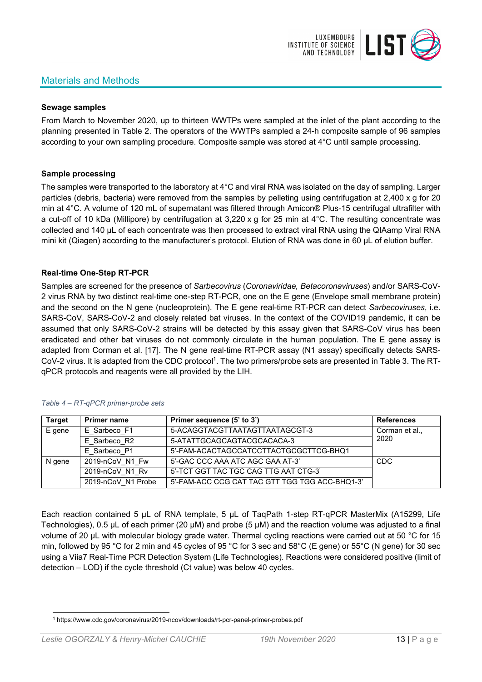# Materials and Methods



## **Sewage samples**

From March to November 2020, up to thirteen WWTPs were sampled at the inlet of the plant according to the planning presented in Table 2. The operators of the WWTPs sampled a 24-h composite sample of 96 samples according to your own sampling procedure. Composite sample was stored at 4°C until sample processing.

#### **Sample processing**

The samples were transported to the laboratory at 4°C and viral RNA was isolated on the day of sampling. Larger particles (debris, bacteria) were removed from the samples by pelleting using centrifugation at 2,400 x g for 20 min at 4°C. A volume of 120 mL of supernatant was filtered through Amicon® Plus-15 centrifugal ultrafilter with a cut-off of 10 kDa (Millipore) by centrifugation at 3,220 x g for 25 min at 4°C. The resulting concentrate was collected and 140 µL of each concentrate was then processed to extract viral RNA using the QIAamp Viral RNA mini kit (Qiagen) according to the manufacturer's protocol. Elution of RNA was done in 60 μL of elution buffer.

## **Real-time One-Step RT-PCR**

Samples are screened for the presence of *Sarbecovirus* (*Coronaviridae, Betacoronaviruses*) and/or SARS-CoV-2 virus RNA by two distinct real-time one-step RT-PCR, one on the E gene (Envelope small membrane protein) and the second on the N gene (nucleoprotein). The E gene real-time RT-PCR can detect *Sarbecoviruses*, i.e. SARS-CoV, SARS-CoV-2 and closely related bat viruses. In the context of the COVID19 pandemic, it can be assumed that only SARS-CoV-2 strains will be detected by this assay given that SARS-CoV virus has been eradicated and other bat viruses do not commonly circulate in the human population. The E gene assay is adapted from Corman et al. [17]. The N gene real-time RT-PCR assay (N1 assay) specifically detects SARS-CoV-2 virus. It is adapted from the CDC protocol<sup>1</sup>. The two primers/probe sets are presented in Table 3. The RTqPCR protocols and reagents were all provided by the LIH.

| <b>Target</b> | <b>Primer name</b> | Primer sequence (5' to 3')                     | <b>References</b> |
|---------------|--------------------|------------------------------------------------|-------------------|
| E gene        | E Sarbeco F1       | 5-ACAGGTACGTTAATAGTTAATAGCGT-3                 | Corman et al.,    |
|               | E Sarbeco R2       | 5-ATATTGCAGCAGTACGCACACA-3                     | 2020              |
|               | E Sarbeco P1       | 5'-FAM-ACACTAGCCATCCTTACTGCGCTTCG-BHQ1         |                   |
| N gene        | 2019-nCoV N1 Fw    | 5'-GAC CCC AAA ATC AGC GAA AT-3'               | <b>CDC</b>        |
|               | 2019-nCoV N1 Rv    | 5'-TCT GGT TAC TGC CAG TTG AAT CTG-3'          |                   |
|               | 2019-nCoV N1 Probe | 5'-FAM-ACC CCG CAT TAC GTT TGG TGG ACC-BHQ1-3' |                   |

#### *Table 4 – RT-qPCR primer-probe sets*

Each reaction contained 5 μL of RNA template, 5 μL of TaqPath 1-step RT-qPCR MasterMix (A15299, Life Technologies), 0.5 µL of each primer (20 µM) and probe (5 µM) and the reaction volume was adjusted to a final volume of 20 μL with molecular biology grade water. Thermal cycling reactions were carried out at 50 °C for 15 min, followed by 95 °C for 2 min and 45 cycles of 95 °C for 3 sec and 58°C (E gene) or 55°C (N gene) for 30 sec using a Viia7 Real-Time PCR Detection System (Life Technologies). Reactions were considered positive (limit of detection – LOD) if the cycle threshold (Ct value) was below 40 cycles.

<sup>1</sup> https://www.cdc.gov/coronavirus/2019-ncov/downloads/rt-pcr-panel-primer-probes.pdf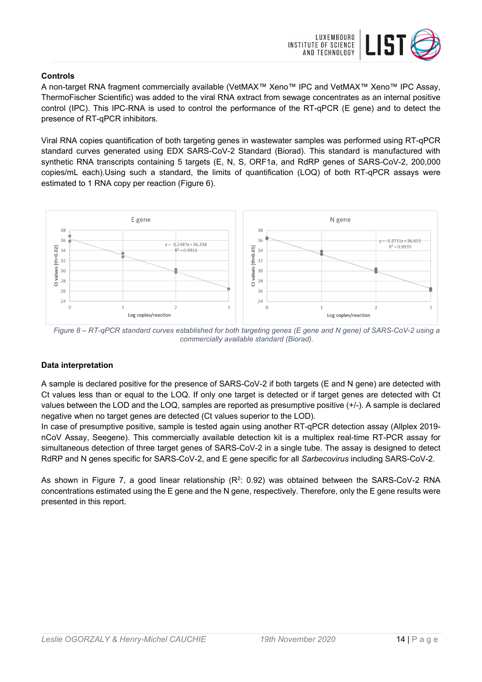

# **Controls**

A non-target RNA fragment commercially available (VetMAX™ Xeno™ IPC and VetMAX™ Xeno™ IPC Assay, ThermoFischer Scientific) was added to the viral RNA extract from sewage concentrates as an internal positive control (IPC). This IPC-RNA is used to control the performance of the RT-qPCR (E gene) and to detect the presence of RT-qPCR inhibitors.

Viral RNA copies quantification of both targeting genes in wastewater samples was performed using RT-qPCR standard curves generated using EDX SARS-CoV-2 Standard (Biorad). This standard is manufactured with synthetic RNA transcripts containing 5 targets (E, N, S, ORF1a, and RdRP genes of SARS-CoV-2, 200,000 copies/mL each).Using such a standard, the limits of quantification (LOQ) of both RT-qPCR assays were estimated to 1 RNA copy per reaction (Figure 6).



*Figure 8 – RT-qPCR standard curves established for both targeting genes (E gene and N gene) of SARS-CoV-2 using a commercially available standard (Biorad).* 

## **Data interpretation**

A sample is declared positive for the presence of SARS-CoV-2 if both targets (E and N gene) are detected with Ct values less than or equal to the LOQ. If only one target is detected or if target genes are detected with Ct values between the LOD and the LOQ, samples are reported as presumptive positive (+/-). A sample is declared negative when no target genes are detected (Ct values superior to the LOD).

In case of presumptive positive, sample is tested again using another RT-qPCR detection assay (Allplex 2019 nCoV Assay, Seegene). This commercially available detection kit is a multiplex real-time RT-PCR assay for simultaneous detection of three target genes of SARS-CoV-2 in a single tube. The assay is designed to detect RdRP and N genes specific for SARS-CoV-2, and E gene specific for all *Sarbecovirus* including SARS-CoV-2.

As shown in Figure 7, a good linear relationship  $(R^2: 0.92)$  was obtained between the SARS-CoV-2 RNA concentrations estimated using the E gene and the N gene, respectively. Therefore, only the E gene results were presented in this report.